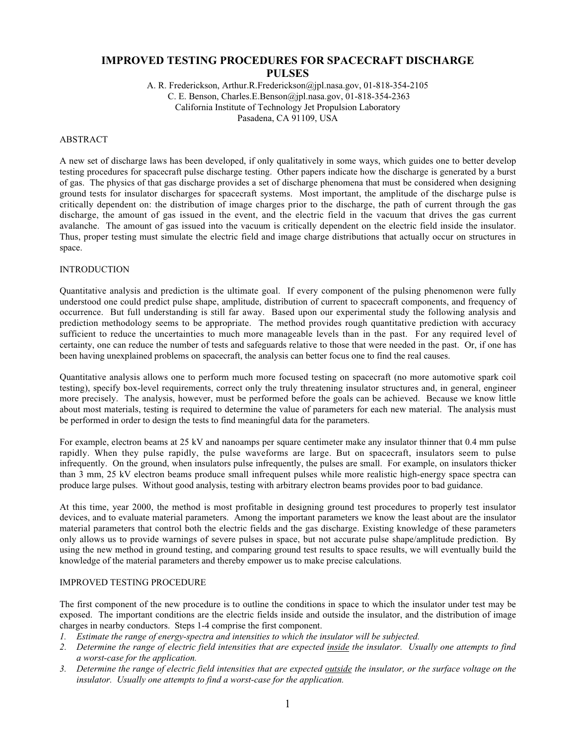# **IMPROVED TESTING PROCEDURES FOR SPACECRAFT DISCHARGE PULSES**

A. R. Frederickson, Arthur.R.Frederickson@jpl.nasa.gov, 01-818-354-2105 C. E. Benson, Charles.E.Benson@jpl.nasa.gov, 01-818-354-2363 California Institute of Technology Jet Propulsion Laboratory Pasadena, CA 91109, USA

## ABSTRACT

A new set of discharge laws has been developed, if only qualitatively in some ways, which guides one to better develop testing procedures for spacecraft pulse discharge testing. Other papers indicate how the discharge is generated by a burst of gas. The physics of that gas discharge provides a set of discharge phenomena that must be considered when designing ground tests for insulator discharges for spacecraft systems. Most important, the amplitude of the discharge pulse is critically dependent on: the distribution of image charges prior to the discharge, the path of current through the gas discharge, the amount of gas issued in the event, and the electric field in the vacuum that drives the gas current avalanche. The amount of gas issued into the vacuum is critically dependent on the electric field inside the insulator. Thus, proper testing must simulate the electric field and image charge distributions that actually occur on structures in space.

## INTRODUCTION

Quantitative analysis and prediction is the ultimate goal. If every component of the pulsing phenomenon were fully understood one could predict pulse shape, amplitude, distribution of current to spacecraft components, and frequency of occurrence. But full understanding is still far away. Based upon our experimental study the following analysis and prediction methodology seems to be appropriate. The method provides rough quantitative prediction with accuracy sufficient to reduce the uncertainties to much more manageable levels than in the past. For any required level of certainty, one can reduce the number of tests and safeguards relative to those that were needed in the past. Or, if one has been having unexplained problems on spacecraft, the analysis can better focus one to find the real causes.

Quantitative analysis allows one to perform much more focused testing on spacecraft (no more automotive spark coil testing), specify box-level requirements, correct only the truly threatening insulator structures and, in general, engineer more precisely. The analysis, however, must be performed before the goals can be achieved. Because we know little about most materials, testing is required to determine the value of parameters for each new material. The analysis must be performed in order to design the tests to find meaningful data for the parameters.

For example, electron beams at 25 kV and nanoamps per square centimeter make any insulator thinner that 0.4 mm pulse rapidly. When they pulse rapidly, the pulse waveforms are large. But on spacecraft, insulators seem to pulse infrequently. On the ground, when insulators pulse infrequently, the pulses are small. For example, on insulators thicker than 3 mm, 25 kV electron beams produce small infrequent pulses while more realistic high-energy space spectra can produce large pulses. Without good analysis, testing with arbitrary electron beams provides poor to bad guidance.

At this time, year 2000, the method is most profitable in designing ground test procedures to properly test insulator devices, and to evaluate material parameters. Among the important parameters we know the least about are the insulator material parameters that control both the electric fields and the gas discharge. Existing knowledge of these parameters only allows us to provide warnings of severe pulses in space, but not accurate pulse shape/amplitude prediction. By using the new method in ground testing, and comparing ground test results to space results, we will eventually build the knowledge of the material parameters and thereby empower us to make precise calculations.

## IMPROVED TESTING PROCEDURE

The first component of the new procedure is to outline the conditions in space to which the insulator under test may be exposed. The important conditions are the electric fields inside and outside the insulator, and the distribution of image charges in nearby conductors. Steps 1-4 comprise the first component.

- *1. Estimate the range of energy-spectra and intensities to which the insulator will be subjected.*
- *2. Determine the range of electric field intensities that are expected inside the insulator. Usually one attempts to find a worst-case for the application.*
- *3. Determine the range of electric field intensities that are expected outside the insulator, or the surface voltage on the insulator. Usually one attempts to find a worst-case for the application.*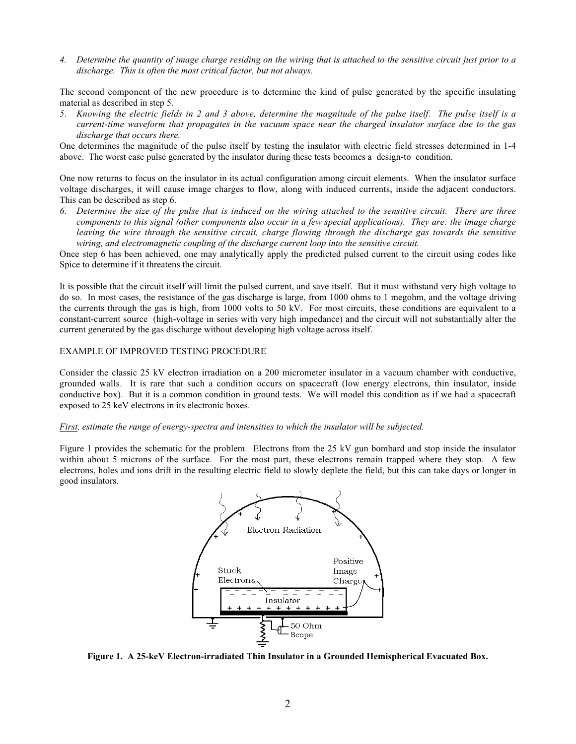*4. Determine the quantity of image charge residing on the wiring that is attached to the sensitive circuit just prior to a discharge. This is often the most critical factor, but not always.*

The second component of the new procedure is to determine the kind of pulse generated by the specific insulating material as described in step 5.

*5. Knowing the electric fields in 2 and 3 above, determine the magnitude of the pulse itself. The pulse itself is a current-time waveform that propagates in the vacuum space near the charged insulator surface due to the gas discharge that occurs there.*

One determines the magnitude of the pulse itself by testing the insulator with electric field stresses determined in 1-4 above. The worst case pulse generated by the insulator during these tests becomes a design-to condition.

One now returns to focus on the insulator in its actual configuration among circuit elements. When the insulator surface voltage discharges, it will cause image charges to flow, along with induced currents, inside the adjacent conductors. This can be described as step 6.

*6. Determine the size of the pulse that is induced on the wiring attached to the sensitive circuit. There are three components to this signal (other components also occur in a few special applications). They are: the image charge leaving the wire through the sensitive circuit, charge flowing through the discharge gas towards the sensitive wiring, and electromagnetic coupling of the discharge current loop into the sensitive circuit.*

Once step 6 has been achieved, one may analytically apply the predicted pulsed current to the circuit using codes like Spice to determine if it threatens the circuit.

It is possible that the circuit itself will limit the pulsed current, and save itself. But it must withstand very high voltage to do so. In most cases, the resistance of the gas discharge is large, from 1000 ohms to 1 megohm, and the voltage driving the currents through the gas is high, from 1000 volts to 50 kV. For most circuits, these conditions are equivalent to a constant-current source (high-voltage in series with very high impedance) and the circuit will not substantially alter the current generated by the gas discharge without developing high voltage across itself.

## EXAMPLE OF IMPROVED TESTING PROCEDURE

Consider the classic 25 kV electron irradiation on a 200 micrometer insulator in a vacuum chamber with conductive, grounded walls. It is rare that such a condition occurs on spacecraft (low energy electrons, thin insulator, inside conductive box). But it is a common condition in ground tests. We will model this condition as if we had a spacecraft exposed to 25 keV electrons in its electronic boxes.

#### *First, estimate the range of energy-spectra and intensities to which the insulator will be subjected.*

Figure 1 provides the schematic for the problem. Electrons from the 25 kV gun bombard and stop inside the insulator within about 5 microns of the surface. For the most part, these electrons remain trapped where they stop. A few electrons, holes and ions drift in the resulting electric field to slowly deplete the field, but this can take days or longer in good insulators.



**Figure 1. A 25-keV Electron-irradiated Thin Insulator in a Grounded Hemispherical Evacuated Box.**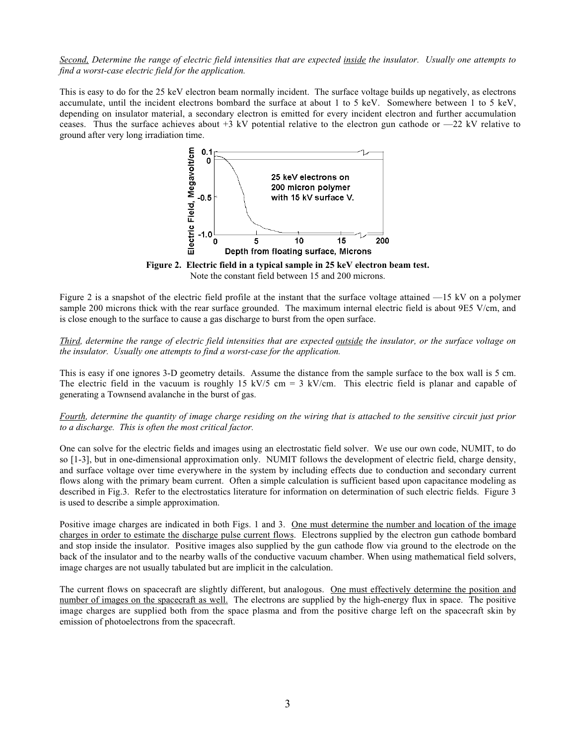*Second, Determine the range of electric field intensities that are expected inside the insulator. Usually one attempts to find a worst-case electric field for the application.*

This is easy to do for the 25 keV electron beam normally incident. The surface voltage builds up negatively, as electrons accumulate, until the incident electrons bombard the surface at about 1 to 5 keV. Somewhere between 1 to 5 keV, depending on insulator material, a secondary electron is emitted for every incident electron and further accumulation ceases. Thus the surface achieves about  $+3$  kV potential relative to the electron gun cathode or  $-22$  kV relative to ground after very long irradiation time.



**Figure 2. Electric field in a typical sample in 25 keV electron beam test.** Note the constant field between 15 and 200 microns.

Figure 2 is a snapshot of the electric field profile at the instant that the surface voltage attained —15 kV on a polymer sample 200 microns thick with the rear surface grounded. The maximum internal electric field is about 9E5 V/cm, and is close enough to the surface to cause a gas discharge to burst from the open surface.

*Third, determine the range of electric field intensities that are expected outside the insulator, or the surface voltage on the insulator. Usually one attempts to find a worst-case for the application.*

This is easy if one ignores 3-D geometry details. Assume the distance from the sample surface to the box wall is 5 cm. The electric field in the vacuum is roughly 15 kV/5 cm = 3 kV/cm. This electric field is planar and capable of generating a Townsend avalanche in the burst of gas.

*Fourth, determine the quantity of image charge residing on the wiring that is attached to the sensitive circuit just prior to a discharge. This is often the most critical factor.*

One can solve for the electric fields and images using an electrostatic field solver. We use our own code, NUMIT, to do so [1-3], but in one-dimensional approximation only. NUMIT follows the development of electric field, charge density, and surface voltage over time everywhere in the system by including effects due to conduction and secondary current flows along with the primary beam current. Often a simple calculation is sufficient based upon capacitance modeling as described in Fig.3. Refer to the electrostatics literature for information on determination of such electric fields. Figure 3 is used to describe a simple approximation.

Positive image charges are indicated in both Figs. 1 and 3. One must determine the number and location of the image charges in order to estimate the discharge pulse current flows. Electrons supplied by the electron gun cathode bombard and stop inside the insulator. Positive images also supplied by the gun cathode flow via ground to the electrode on the back of the insulator and to the nearby walls of the conductive vacuum chamber. When using mathematical field solvers, image charges are not usually tabulated but are implicit in the calculation.

The current flows on spacecraft are slightly different, but analogous. One must effectively determine the position and number of images on the spacecraft as well. The electrons are supplied by the high-energy flux in space. The positive image charges are supplied both from the space plasma and from the positive charge left on the spacecraft skin by emission of photoelectrons from the spacecraft.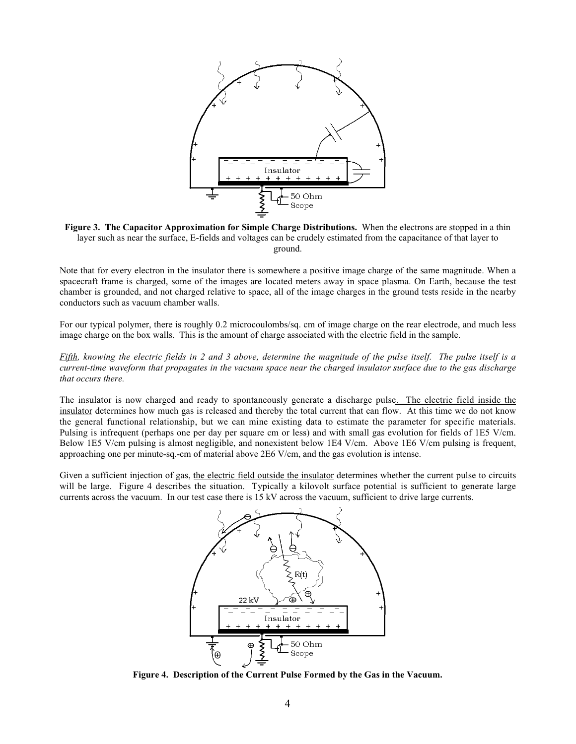

**Figure 3. The Capacitor Approximation for Simple Charge Distributions.** When the electrons are stopped in a thin layer such as near the surface, E-fields and voltages can be crudely estimated from the capacitance of that layer to ground.

Note that for every electron in the insulator there is somewhere a positive image charge of the same magnitude. When a spacecraft frame is charged, some of the images are located meters away in space plasma. On Earth, because the test chamber is grounded, and not charged relative to space, all of the image charges in the ground tests reside in the nearby conductors such as vacuum chamber walls.

For our typical polymer, there is roughly 0.2 microcoulombs/sq. cm of image charge on the rear electrode, and much less image charge on the box walls. This is the amount of charge associated with the electric field in the sample.

*Fifth, knowing the electric fields in 2 and 3 above, determine the magnitude of the pulse itself. The pulse itself is a current-time waveform that propagates in the vacuum space near the charged insulator surface due to the gas discharge that occurs there.*

The insulator is now charged and ready to spontaneously generate a discharge pulse. The electric field inside the insulator determines how much gas is released and thereby the total current that can flow. At this time we do not know the general functional relationship, but we can mine existing data to estimate the parameter for specific materials. Pulsing is infrequent (perhaps one per day per square cm or less) and with small gas evolution for fields of 1E5 V/cm. Below 1E5 V/cm pulsing is almost negligible, and nonexistent below 1E4 V/cm. Above 1E6 V/cm pulsing is frequent, approaching one per minute-sq.-cm of material above 2E6 V/cm, and the gas evolution is intense.

Given a sufficient injection of gas, the electric field outside the insulator determines whether the current pulse to circuits will be large. Figure 4 describes the situation. Typically a kilovolt surface potential is sufficient to generate large currents across the vacuum. In our test case there is 15 kV across the vacuum, sufficient to drive large currents.



**Figure 4. Description of the Current Pulse Formed by the Gas in the Vacuum.**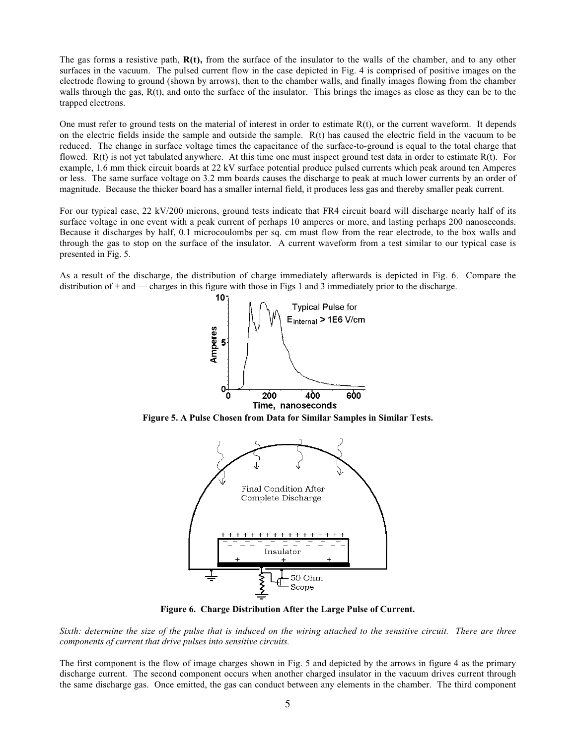The gas forms a resistive path, **R(t),** from the surface of the insulator to the walls of the chamber, and to any other surfaces in the vacuum. The pulsed current flow in the case depicted in Fig. 4 is comprised of positive images on the electrode flowing to ground (shown by arrows), then to the chamber walls, and finally images flowing from the chamber walls through the gas,  $R(t)$ , and onto the surface of the insulator. This brings the images as close as they can be to the trapped electrons.

One must refer to ground tests on the material of interest in order to estimate R(t), or the current waveform. It depends on the electric fields inside the sample and outside the sample.  $R(t)$  has caused the electric field in the vacuum to be reduced. The change in surface voltage times the capacitance of the surface-to-ground is equal to the total charge that flowed.  $R(t)$  is not yet tabulated anywhere. At this time one must inspect ground test data in order to estimate  $R(t)$ . For example, 1.6 mm thick circuit boards at 22 kV surface potential produce pulsed currents which peak around ten Amperes or less. The same surface voltage on 3.2 mm boards causes the discharge to peak at much lower currents by an order of magnitude. Because the thicker board has a smaller internal field, it produces less gas and thereby smaller peak current.

For our typical case, 22 kV/200 microns, ground tests indicate that FR4 circuit board will discharge nearly half of its surface voltage in one event with a peak current of perhaps 10 amperes or more, and lasting perhaps 200 nanoseconds. Because it discharges by half, 0.1 microcoulombs per sq. cm must flow from the rear electrode, to the box walls and through the gas to stop on the surface of the insulator. A current waveform from a test similar to our typical case is presented in Fig. 5.

As a result of the discharge, the distribution of charge immediately afterwards is depicted in Fig. 6. Compare the distribution of + and — charges in this figure with those in Figs 1 and 3 immediately prior to the discharge.



**Figure 5. A Pulse Chosen from Data for Similar Samples in Similar Tests.**



**Figure 6. Charge Distribution After the Large Pulse of Current.**

*Sixth: determine the size of the pulse that is induced on the wiring attached to the sensitive circuit. There are three components of current that drive pulses into sensitive circuits.*

The first component is the flow of image charges shown in Fig. 5 and depicted by the arrows in figure 4 as the primary discharge current. The second component occurs when another charged insulator in the vacuum drives current through the same discharge gas. Once emitted, the gas can conduct between any elements in the chamber. The third component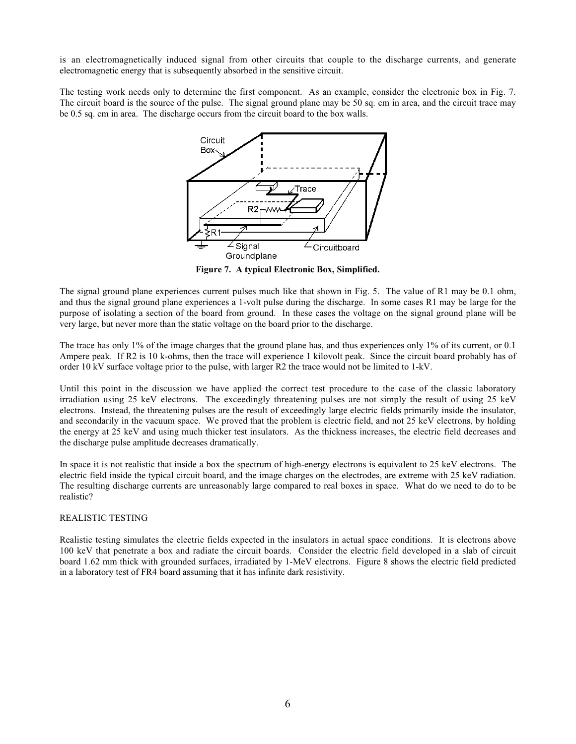is an electromagnetically induced signal from other circuits that couple to the discharge currents, and generate electromagnetic energy that is subsequently absorbed in the sensitive circuit.

The testing work needs only to determine the first component. As an example, consider the electronic box in Fig. 7. The circuit board is the source of the pulse. The signal ground plane may be 50 sq. cm in area, and the circuit trace may be 0.5 sq. cm in area. The discharge occurs from the circuit board to the box walls.



**Figure 7. A typical Electronic Box, Simplified.**

The signal ground plane experiences current pulses much like that shown in Fig. 5. The value of R1 may be 0.1 ohm, and thus the signal ground plane experiences a 1-volt pulse during the discharge. In some cases R1 may be large for the purpose of isolating a section of the board from ground. In these cases the voltage on the signal ground plane will be very large, but never more than the static voltage on the board prior to the discharge.

The trace has only 1% of the image charges that the ground plane has, and thus experiences only 1% of its current, or 0.1 Ampere peak. If R2 is 10 k-ohms, then the trace will experience 1 kilovolt peak. Since the circuit board probably has of order 10 kV surface voltage prior to the pulse, with larger R2 the trace would not be limited to 1-kV.

Until this point in the discussion we have applied the correct test procedure to the case of the classic laboratory irradiation using 25 keV electrons. The exceedingly threatening pulses are not simply the result of using 25 keV electrons. Instead, the threatening pulses are the result of exceedingly large electric fields primarily inside the insulator, and secondarily in the vacuum space. We proved that the problem is electric field, and not 25 keV electrons, by holding the energy at 25 keV and using much thicker test insulators. As the thickness increases, the electric field decreases and the discharge pulse amplitude decreases dramatically.

In space it is not realistic that inside a box the spectrum of high-energy electrons is equivalent to 25 keV electrons. The electric field inside the typical circuit board, and the image charges on the electrodes, are extreme with 25 keV radiation. The resulting discharge currents are unreasonably large compared to real boxes in space. What do we need to do to be realistic?

## REALISTIC TESTING

Realistic testing simulates the electric fields expected in the insulators in actual space conditions. It is electrons above 100 keV that penetrate a box and radiate the circuit boards. Consider the electric field developed in a slab of circuit board 1.62 mm thick with grounded surfaces, irradiated by 1-MeV electrons. Figure 8 shows the electric field predicted in a laboratory test of FR4 board assuming that it has infinite dark resistivity.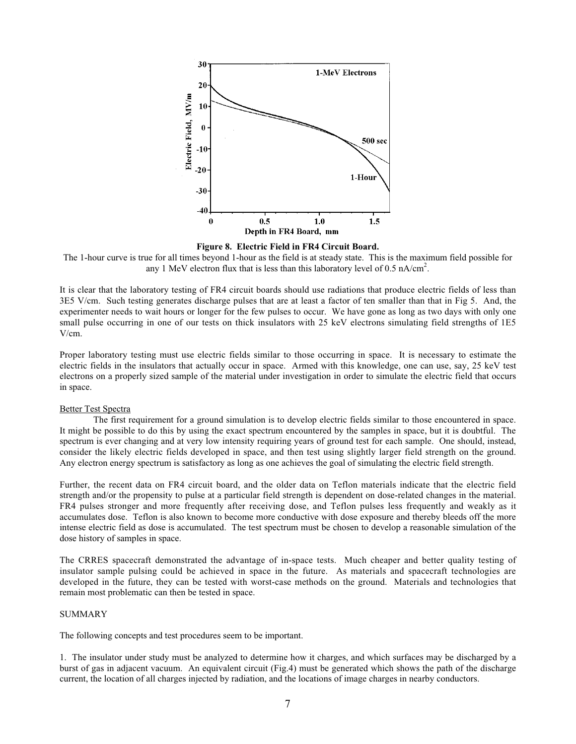

**Figure 8. Electric Field in FR4 Circuit Board.**

The 1-hour curve is true for all times beyond 1-hour as the field is at steady state. This is the maximum field possible for any 1 MeV electron flux that is less than this laboratory level of 0.5 nA/cm<sup>2</sup>.

It is clear that the laboratory testing of FR4 circuit boards should use radiations that produce electric fields of less than 3E5 V/cm. Such testing generates discharge pulses that are at least a factor of ten smaller than that in Fig 5. And, the experimenter needs to wait hours or longer for the few pulses to occur. We have gone as long as two days with only one small pulse occurring in one of our tests on thick insulators with 25 keV electrons simulating field strengths of 1E5 V/cm.

Proper laboratory testing must use electric fields similar to those occurring in space. It is necessary to estimate the electric fields in the insulators that actually occur in space. Armed with this knowledge, one can use, say, 25 keV test electrons on a properly sized sample of the material under investigation in order to simulate the electric field that occurs in space.

#### Better Test Spectra

The first requirement for a ground simulation is to develop electric fields similar to those encountered in space. It might be possible to do this by using the exact spectrum encountered by the samples in space, but it is doubtful. The spectrum is ever changing and at very low intensity requiring years of ground test for each sample. One should, instead, consider the likely electric fields developed in space, and then test using slightly larger field strength on the ground. Any electron energy spectrum is satisfactory as long as one achieves the goal of simulating the electric field strength.

Further, the recent data on FR4 circuit board, and the older data on Teflon materials indicate that the electric field strength and/or the propensity to pulse at a particular field strength is dependent on dose-related changes in the material. FR4 pulses stronger and more frequently after receiving dose, and Teflon pulses less frequently and weakly as it accumulates dose. Teflon is also known to become more conductive with dose exposure and thereby bleeds off the more intense electric field as dose is accumulated. The test spectrum must be chosen to develop a reasonable simulation of the dose history of samples in space.

The CRRES spacecraft demonstrated the advantage of in-space tests. Much cheaper and better quality testing of insulator sample pulsing could be achieved in space in the future. As materials and spacecraft technologies are developed in the future, they can be tested with worst-case methods on the ground. Materials and technologies that remain most problematic can then be tested in space.

## SUMMARY

The following concepts and test procedures seem to be important.

1. The insulator under study must be analyzed to determine how it charges, and which surfaces may be discharged by a burst of gas in adjacent vacuum. An equivalent circuit (Fig.4) must be generated which shows the path of the discharge current, the location of all charges injected by radiation, and the locations of image charges in nearby conductors.